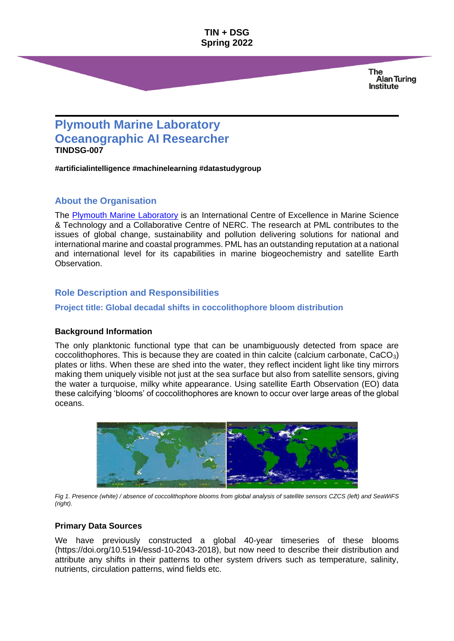**TIN + DSG Spring 2022**

> **The Alan Turing Institute**

# **Plymouth Marine Laboratory Oceanographic AI Researcher TINDSG-007**

**#artificialintelligence #machinelearning #datastudygroup**

## **About the Organisation**

The [Plymouth Marine Laboratory](https://www.pml.ac.uk/) is an International Centre of Excellence in Marine Science & Technology and a Collaborative Centre of NERC. The research at PML contributes to the issues of global change, sustainability and pollution delivering solutions for national and international marine and coastal programmes. PML has an outstanding reputation at a national and international level for its capabilities in marine biogeochemistry and satellite Earth Observation.

## **Role Description and Responsibilities**

#### **Project title: Global decadal shifts in coccolithophore bloom distribution**

#### **Background Information**

The only planktonic functional type that can be unambiguously detected from space are coccolithophores. This is because they are coated in thin calcite (calcium carbonate,  $CaCO<sub>3</sub>$ ) plates or liths. When these are shed into the water, they reflect incident light like tiny mirrors making them uniquely visible not just at the sea surface but also from satellite sensors, giving the water a turquoise, milky white appearance. Using satellite Earth Observation (EO) data these calcifying 'blooms' of coccolithophores are known to occur over large areas of the global oceans.



*Fig 1. Presence (white) / absence of coccolithophore blooms from global analysis of satellite sensors CZCS (left) and SeaWiFS (right).*

#### **Primary Data Sources**

We have previously constructed a global 40-year timeseries of these blooms (https://doi.org/10.5194/essd-10-2043-2018), but now need to describe their distribution and attribute any shifts in their patterns to other system drivers such as temperature, salinity, nutrients, circulation patterns, wind fields etc.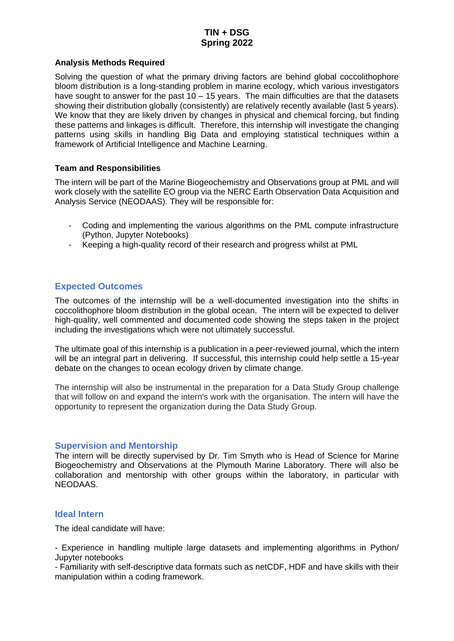## **TIN + DSG Spring 2022**

#### **Analysis Methods Required**

Solving the question of what the primary driving factors are behind global coccolithophore bloom distribution is a long-standing problem in marine ecology, which various investigators have sought to answer for the past  $10 - 15$  years. The main difficulties are that the datasets showing their distribution globally (consistently) are relatively recently available (last 5 years). We know that they are likely driven by changes in physical and chemical forcing, but finding these patterns and linkages is difficult. Therefore, this internship will investigate the changing patterns using skills in handling Big Data and employing statistical techniques within a framework of Artificial Intelligence and Machine Learning.

#### **Team and Responsibilities**

The intern will be part of the Marine Biogeochemistry and Observations group at PML and will work closely with the satellite EO group via the NERC Earth Observation Data Acquisition and Analysis Service (NEODAAS). They will be responsible for:

- Coding and implementing the various algorithms on the PML compute infrastructure (Python, Jupyter Notebooks)
- Keeping a high-quality record of their research and progress whilst at PML

## **Expected Outcomes**

The outcomes of the internship will be a well-documented investigation into the shifts in coccolithophore bloom distribution in the global ocean. The intern will be expected to deliver high-quality, well commented and documented code showing the steps taken in the project including the investigations which were not ultimately successful.

The ultimate goal of this internship is a publication in a peer-reviewed journal, which the intern will be an integral part in delivering. If successful, this internship could help settle a 15-year debate on the changes to ocean ecology driven by climate change.

The internship will also be instrumental in the preparation for a Data Study Group challenge that will follow on and expand the intern's work with the organisation. The intern will have the opportunity to represent the organization during the Data Study Group.

#### **Supervision and Mentorship**

The intern will be directly supervised by Dr. Tim Smyth who is Head of Science for Marine Biogeochemistry and Observations at the Plymouth Marine Laboratory. There will also be collaboration and mentorship with other groups within the laboratory, in particular with NEODAAS.

#### **Ideal Intern**

The ideal candidate will have:

- Experience in handling multiple large datasets and implementing algorithms in Python/ Jupyter notebooks

- Familiarity with self-descriptive data formats such as netCDF, HDF and have skills with their manipulation within a coding framework.